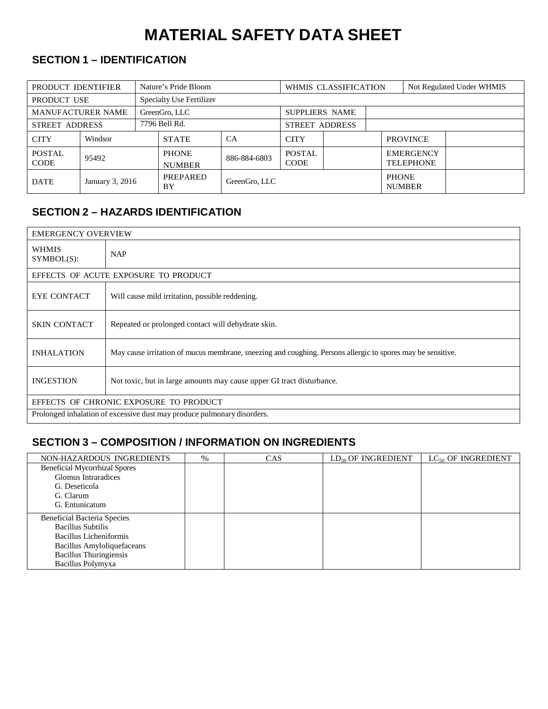# **MATERIAL SAFETY DATA SHEET**

# **SECTION 1 – IDENTIFICATION**

| PRODUCT IDENTIFIER                    |         | Nature's Pride Bloom          |                                 | WHMIS CLASSIFICATION         |             |              | Not Regulated Under WHMIS            |                 |  |
|---------------------------------------|---------|-------------------------------|---------------------------------|------------------------------|-------------|--------------|--------------------------------------|-----------------|--|
| PRODUCT USE                           |         |                               | <b>Specialty Use Fertilizer</b> |                              |             |              |                                      |                 |  |
| <b>MANUFACTURER NAME</b>              |         | GreenGro, LLC                 |                                 | <b>SUPPLIERS NAME</b>        |             |              |                                      |                 |  |
| <b>STREET ADDRESS</b>                 |         | 7796 Bell Rd.                 |                                 | <b>STREET ADDRESS</b>        |             |              |                                      |                 |  |
| <b>CITY</b>                           | Windsor |                               | <b>STATE</b>                    | CA                           | <b>CITY</b> |              |                                      | <b>PROVINCE</b> |  |
| <b>POSTAL</b><br>95492<br><b>CODE</b> |         | <b>PHONE</b><br><b>NUMBER</b> | 886-884-6803                    | <b>POSTAL</b><br><b>CODE</b> |             |              | <b>EMERGENCY</b><br><b>TELEPHONE</b> |                 |  |
| <b>DATE</b><br>January 3, 2016        |         | PREPARED<br>BY                | GreenGro, LLC                   |                              |             | <b>PHONE</b> | <b>NUMBER</b>                        |                 |  |

## **SECTION 2 – HAZARDS IDENTIFICATION**

|                                                                         | <b>EMERGENCY OVERVIEW</b>                                                                                   |  |  |  |
|-------------------------------------------------------------------------|-------------------------------------------------------------------------------------------------------------|--|--|--|
| <b>WHMIS</b><br>SYMBOL(S):                                              | <b>NAP</b>                                                                                                  |  |  |  |
|                                                                         | EFFECTS OF ACUTE EXPOSURE TO PRODUCT                                                                        |  |  |  |
| <b>EYE CONTACT</b>                                                      | Will cause mild irritation, possible reddening.                                                             |  |  |  |
| <b>SKIN CONTACT</b>                                                     | Repeated or prolonged contact will dehydrate skin.                                                          |  |  |  |
| <b>INHALATION</b>                                                       | May cause irritation of mucus membrane, sneezing and coughing. Persons allergic to spores may be sensitive. |  |  |  |
| <b>INGESTION</b>                                                        | Not toxic, but in large amounts may cause upper GI tract disturbance.                                       |  |  |  |
| EFFECTS OF CHRONIC EXPOSURE TO PRODUCT                                  |                                                                                                             |  |  |  |
| Prolonged inhalation of excessive dust may produce pulmonary disorders. |                                                                                                             |  |  |  |

# **SECTION 3 – COMPOSITION / INFORMATION ON INGREDIENTS**

| NON-HAZARDOUS INGREDIENTS            | $\%$ | <b>CAS</b> | $LD_{50}$ OF INGREDIENT | $LC_{50}$ OF INGREDIENT |
|--------------------------------------|------|------------|-------------------------|-------------------------|
| <b>Beneficial Mycorrhizal Spores</b> |      |            |                         |                         |
| Glomus Intraradices                  |      |            |                         |                         |
| G. Deseticola                        |      |            |                         |                         |
| G. Clarum                            |      |            |                         |                         |
| G. Entunicatum                       |      |            |                         |                         |
| Beneficial Bacteria Species          |      |            |                         |                         |
| <b>Bacillus Subtilis</b>             |      |            |                         |                         |
| Bacillus Licheniformis               |      |            |                         |                         |
| Bacillus Amyloliquefaceans           |      |            |                         |                         |
| <b>Bacillus</b> Thuringiensis        |      |            |                         |                         |
| Bacillus Polymyxa                    |      |            |                         |                         |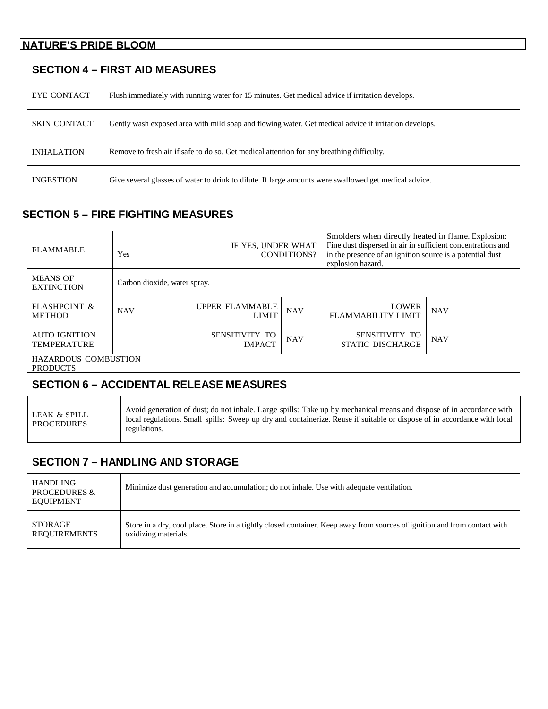#### **NATURE'S PRIDE BLOOM**

#### **SECTION 4 – FIRST AID MEASURES**

| <b>EYE CONTACT</b>  | Flush immediately with running water for 15 minutes. Get medical advice if irritation develops.       |
|---------------------|-------------------------------------------------------------------------------------------------------|
| <b>SKIN CONTACT</b> | Gently wash exposed area with mild soap and flowing water. Get medical advice if irritation develops. |
| <b>INHALATION</b>   | Remove to fresh air if safe to do so. Get medical attention for any breathing difficulty.             |
| <b>INGESTION</b>    | Give several glasses of water to drink to dilute. If large amounts were swallowed get medical advice. |

# **SECTION 5 – FIRE FIGHTING MEASURES**

| <b>FLAMMABLE</b>                               | Yes                          | IF YES, UNDER WHAT              | CONDITIONS? | Smolders when directly heated in flame. Explosion:<br>Fine dust dispersed in air in sufficient concentrations and<br>in the presence of an ignition source is a potential dust<br>explosion hazard. |            |
|------------------------------------------------|------------------------------|---------------------------------|-------------|-----------------------------------------------------------------------------------------------------------------------------------------------------------------------------------------------------|------------|
| <b>MEANS OF</b><br><b>EXTINCTION</b>           | Carbon dioxide, water spray. |                                 |             |                                                                                                                                                                                                     |            |
| <b>FLASHPOINT &amp;</b><br><b>METHOD</b>       | <b>NAV</b>                   | UPPER FLAMMABLE<br><b>LIMIT</b> | <b>NAV</b>  | <b>LOWER</b><br><b>FLAMMABILITY LIMIT</b>                                                                                                                                                           | <b>NAV</b> |
| <b>AUTO IGNITION</b><br><b>TEMPERATURE</b>     |                              | SENSITIVITY TO<br><b>IMPACT</b> | <b>NAV</b>  | SENSITIVITY TO<br><b>STATIC DISCHARGE</b>                                                                                                                                                           | <b>NAV</b> |
| <b>HAZARDOUS COMBUSTION</b><br><b>PRODUCTS</b> |                              |                                 |             |                                                                                                                                                                                                     |            |

# **SECTION 6 – ACCIDENTAL RELEASE MEASURES**

| LEAK & SPILL<br>PROCEDURES | Avoid generation of dust; do not inhale. Large spills: Take up by mechanical means and dispose of in accordance with<br>local regulations. Small spills: Sweep up dry and containerize. Reuse if suitable or dispose of in accordance with local<br>regulations. |
|----------------------------|------------------------------------------------------------------------------------------------------------------------------------------------------------------------------------------------------------------------------------------------------------------|
|----------------------------|------------------------------------------------------------------------------------------------------------------------------------------------------------------------------------------------------------------------------------------------------------------|

#### **SECTION 7 – HANDLING AND STORAGE**

Τ

| <b>HANDLING</b><br><b>PROCEDURES &amp;</b><br><b>EQUIPMENT</b> | Minimize dust generation and accumulation; do not inhale. Use with adequate ventilation.                                  |
|----------------------------------------------------------------|---------------------------------------------------------------------------------------------------------------------------|
| STORAGE                                                        | Store in a dry, cool place. Store in a tightly closed container. Keep away from sources of ignition and from contact with |
| REQUIREMENTS                                                   | oxidizing materials.                                                                                                      |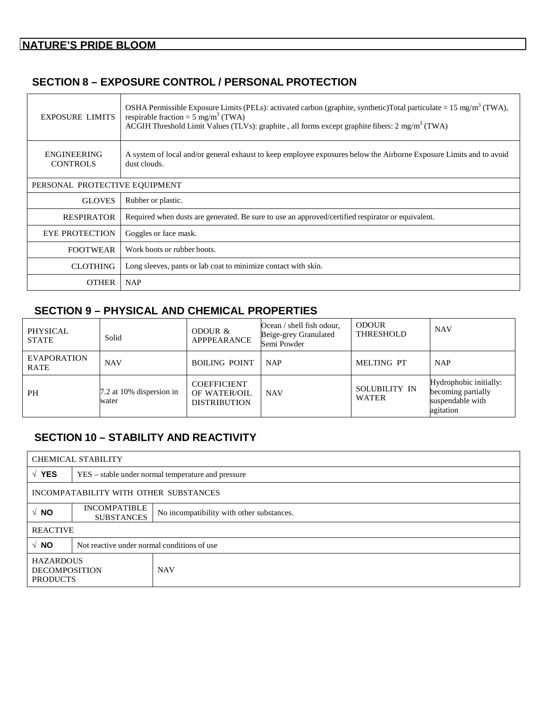## **SECTION 8 – EXPOSURE CONTROL / PERSONAL PROTECTION**

| <b>EXPOSURE LIMITS</b>                | OSHA Permissible Exposure Limits (PELs): activated carbon (graphite, synthetic)Total particulate = 15 mg/m <sup>3</sup> (TWA),<br>respirable fraction = $5 \text{ mg/m}^3$ (TWA)<br>ACGIH Threshold Limit Values (TLVs): graphite, all forms except graphite fibers: $2 \text{ mg/m}^3$ (TWA) |  |
|---------------------------------------|-----------------------------------------------------------------------------------------------------------------------------------------------------------------------------------------------------------------------------------------------------------------------------------------------|--|
| <b>ENGINEERING</b><br><b>CONTROLS</b> | A system of local and/or general exhaust to keep employee exposures below the Airborne Exposure Limits and to avoid<br>dust clouds.                                                                                                                                                           |  |
| PERSONAL PROTECTIVE EQUIPMENT         |                                                                                                                                                                                                                                                                                               |  |
| <b>GLOVES</b>                         | Rubber or plastic.                                                                                                                                                                                                                                                                            |  |
| <b>RESPIRATOR</b>                     | Required when dusts are generated. Be sure to use an approved/certified respirator or equivalent.                                                                                                                                                                                             |  |
| <b>EYE PROTECTION</b>                 | Goggles or face mask.                                                                                                                                                                                                                                                                         |  |
| <b>FOOTWEAR</b>                       | Work boots or rubber boots.                                                                                                                                                                                                                                                                   |  |
| <b>CLOTHING</b>                       | Long sleeves, pants or lab coat to minimize contact with skin.                                                                                                                                                                                                                                |  |
| <b>OTHER</b>                          | <b>NAP</b>                                                                                                                                                                                                                                                                                    |  |

## **SECTION 9 – PHYSICAL AND CHEMICAL PROPERTIES**

| <b>PHYSICAL</b><br><b>STATE</b>   | Solid                             | ODOUR &<br>APPPEARANCE                                    | Ocean / shell fish odour,<br>Beige-grey Granulated<br>Semi Powder | <b>ODOUR</b><br>THRESHOLD     | <b>NAV</b>                                                                    |
|-----------------------------------|-----------------------------------|-----------------------------------------------------------|-------------------------------------------------------------------|-------------------------------|-------------------------------------------------------------------------------|
| <b>EVAPORATION</b><br><b>RATE</b> | <b>NAV</b>                        | <b>BOILING POINT</b>                                      | <b>NAP</b>                                                        | <b>MELTING PT</b>             | <b>NAP</b>                                                                    |
| <b>PH</b>                         | 7.2 at 10% dispersion in<br>water | <b>COEFFICIENT</b><br>OF WATER/OIL<br><b>DISTRIBUTION</b> | <b>NAV</b>                                                        | SOLUBILITY IN<br><b>WATER</b> | Hydrophobic initially:<br>becoming partially<br>suspendable with<br>agitation |

# **SECTION 10 – STABILITY AND REACTIVITY**

|                                                             | <b>CHEMICAL STABILITY</b>                                                             |            |  |  |  |
|-------------------------------------------------------------|---------------------------------------------------------------------------------------|------------|--|--|--|
| $\sqrt{YES}$                                                | YES – stable under normal temperature and pressure                                    |            |  |  |  |
| INCOMPATABILITY WITH OTHER SUBSTANCES                       |                                                                                       |            |  |  |  |
| $\sqrt{NQ}$                                                 | <b>INCOMPATIBLE</b><br>No incompatibility with other substances.<br><b>SUBSTANCES</b> |            |  |  |  |
|                                                             | <b>REACTIVE</b>                                                                       |            |  |  |  |
| $\sqrt{NQ}$                                                 | Not reactive under normal conditions of use.                                          |            |  |  |  |
| <b>HAZARDOUS</b><br><b>DECOMPOSITION</b><br><b>PRODUCTS</b> |                                                                                       | <b>NAV</b> |  |  |  |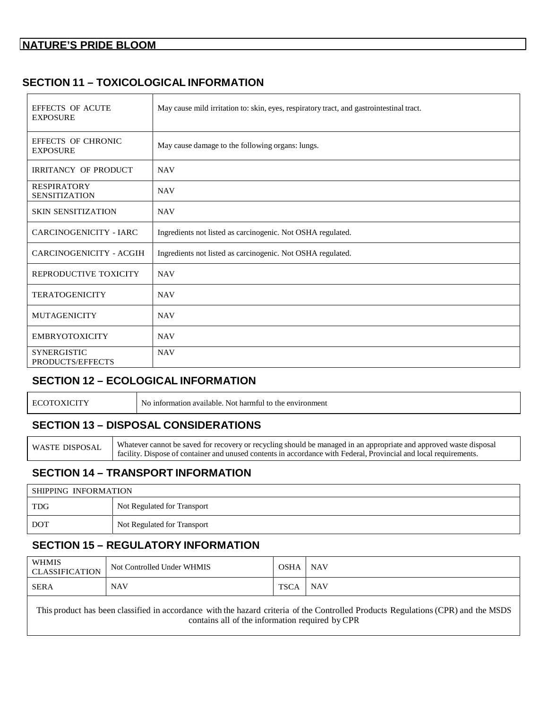### **SECTION 11 – TOXICOLOGICAL INFORMATION**

| EFFECTS OF ACUTE<br><b>EXPOSURE</b>        | May cause mild irritation to: skin, eyes, respiratory tract, and gastrointestinal tract. |
|--------------------------------------------|------------------------------------------------------------------------------------------|
| EFFECTS OF CHRONIC<br><b>EXPOSURE</b>      | May cause damage to the following organs: lungs.                                         |
| <b>IRRITANCY OF PRODUCT</b>                | <b>NAV</b>                                                                               |
| <b>RESPIRATORY</b><br><b>SENSITIZATION</b> | <b>NAV</b>                                                                               |
| <b>SKIN SENSITIZATION</b>                  | <b>NAV</b>                                                                               |
| CARCINOGENICITY - IARC                     | Ingredients not listed as carcinogenic. Not OSHA regulated.                              |
| CARCINOGENICITY - ACGIH                    | Ingredients not listed as carcinogenic. Not OSHA regulated.                              |
| REPRODUCTIVE TOXICITY                      | <b>NAV</b>                                                                               |
| <b>TERATOGENICITY</b>                      | <b>NAV</b>                                                                               |
| <b>MUTAGENICITY</b>                        | <b>NAV</b>                                                                               |
| <b>EMBRYOTOXICITY</b>                      | <b>NAV</b>                                                                               |
| <b>SYNERGISTIC</b><br>PRODUCTS/EFFECTS     | <b>NAV</b>                                                                               |

#### **SECTION 12 – ECOLOGICAL INFORMATION**

| HО. | ) information available.<br>Not harmful to<br>the environment כ<br>NΩ |
|-----|-----------------------------------------------------------------------|
|     |                                                                       |

#### **SECTION 13 – DISPOSAL CONSIDERATIONS**

WASTE DISPOSAL Whatever cannot be saved for recovery or recycling should be managed in an appropriate and approved waste disposal facility. Dispose of container and unused contents in accordance with Federal, Provincial and local requirements.

#### **SECTION 14 – TRANSPORT INFORMATION**

| SHIPPING INFORMATION |                             |  |
|----------------------|-----------------------------|--|
| <b>TDG</b>           | Not Regulated for Transport |  |
| DOT                  | Not Regulated for Transport |  |

#### **SECTION 15 – REGULATORY INFORMATION**

| <b>WHMIS</b><br><b>CLASSIFICATION</b>                                                                                             | Not Controlled Under WHMIS | OSHA   NAV |                 |  |
|-----------------------------------------------------------------------------------------------------------------------------------|----------------------------|------------|-----------------|--|
| SERA                                                                                                                              | <b>NAV</b>                 | TSCA       | NAV <sub></sub> |  |
| This product has been classified in accordance with the hazard criteria of the Controlled Products Regulations (CPR) and the MSDS |                            |            |                 |  |

contains all of the information required by CPR